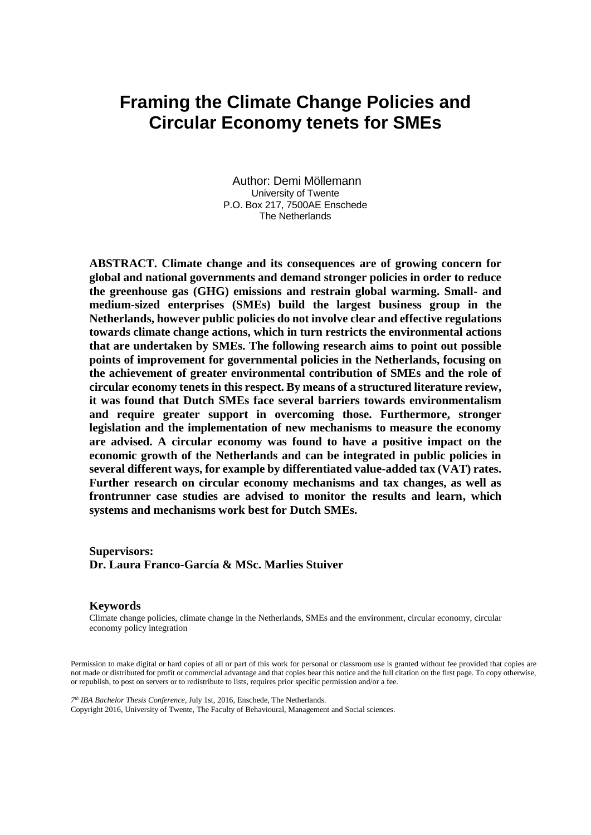# **Framing the Climate Change Policies and Circular Economy tenets for SMEs**

Author: Demi Möllemann University of Twente P.O. Box 217, 7500AE Enschede The Netherlands

**ABSTRACT. Climate change and its consequences are of growing concern for global and national governments and demand stronger policies in order to reduce the greenhouse gas (GHG) emissions and restrain global warming. Small- and medium-sized enterprises (SMEs) build the largest business group in the Netherlands, however public policies do not involve clear and effective regulations towards climate change actions, which in turn restricts the environmental actions that are undertaken by SMEs. The following research aims to point out possible points of improvement for governmental policies in the Netherlands, focusing on the achievement of greater environmental contribution of SMEs and the role of circular economy tenets in this respect. By means of a structured literature review, it was found that Dutch SMEs face several barriers towards environmentalism and require greater support in overcoming those. Furthermore, stronger legislation and the implementation of new mechanisms to measure the economy are advised. A circular economy was found to have a positive impact on the economic growth of the Netherlands and can be integrated in public policies in several different ways, for example by differentiated value-added tax (VAT) rates. Further research on circular economy mechanisms and tax changes, as well as frontrunner case studies are advised to monitor the results and learn, which systems and mechanisms work best for Dutch SMEs.**

**Supervisors: Dr. Laura Franco-García & MSc. Marlies Stuiver**

#### **Keywords**

Climate change policies, climate change in the Netherlands, SMEs and the environment, circular economy, circular economy policy integration

Permission to make digital or hard copies of all or part of this work for personal or classroom use is granted without fee provided that copies are not made or distributed for profit or commercial advantage and that copies bear this notice and the full citation on the first page. To copy otherwise, or republish, to post on servers or to redistribute to lists, requires prior specific permission and/or a fee.

*7 th IBA Bachelor Thesis Conference*, July 1st, 2016, Enschede, The Netherlands. Copyright 2016, University of Twente, The Faculty of Behavioural, Management and Social sciences.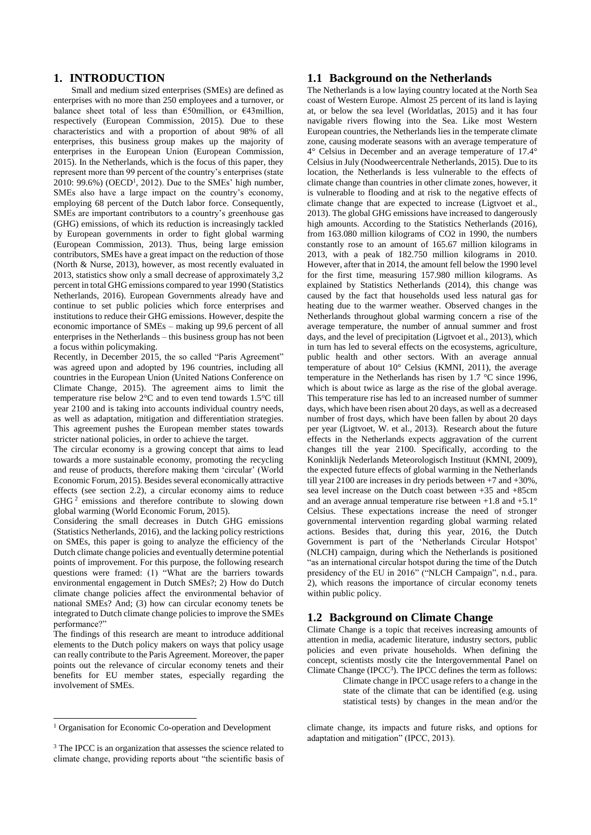## **1. INTRODUCTION**

Small and medium sized enterprises (SMEs) are defined as enterprises with no more than 250 employees and a turnover, or balance sheet total of less than  $\epsilon$ 50million, or  $\epsilon$ 43million, respectively (European Commission, 2015). Due to these characteristics and with a proportion of about 98% of all enterprises, this business group makes up the majority of enterprises in the European Union (European Commission, 2015). In the Netherlands, which is the focus of this paper, they represent more than 99 percent of the country's enterprises (state  $2010$ : 99.6%) (OECD<sup>1</sup>, 2012). Due to the SMEs' high number, SMEs also have a large impact on the country's economy, employing 68 percent of the Dutch labor force. Consequently, SMEs are important contributors to a country's greenhouse gas (GHG) emissions, of which its reduction is increasingly tackled by European governments in order to fight global warming (European Commission, 2013). Thus, being large emission contributors, SMEs have a great impact on the reduction of those (North & Nurse, 2013), however, as most recently evaluated in 2013, statistics show only a small decrease of approximately 3,2 percent in total GHG emissions compared to year 1990 (Statistics Netherlands, 2016). European Governments already have and continue to set public policies which force enterprises and institutions to reduce their GHG emissions. However, despite the economic importance of SMEs – making up 99,6 percent of all enterprises in the Netherlands – this business group has not been a focus within policymaking.

Recently, in December 2015, the so called "Paris Agreement" was agreed upon and adopted by 196 countries, including all countries in the European Union (United Nations Conference on Climate Change, 2015). The agreement aims to limit the temperature rise below 2°C and to even tend towards 1.5°C till year 2100 and is taking into accounts individual country needs, as well as adaptation, mitigation and differentiation strategies. This agreement pushes the European member states towards stricter national policies, in order to achieve the target.

The circular economy is a growing concept that aims to lead towards a more sustainable economy, promoting the recycling and reuse of products, therefore making them 'circular' (World Economic Forum, 2015). Besides several economically attractive effects (see section 2.2), a circular economy aims to reduce GHG<sup>2</sup> emissions and therefore contribute to slowing down global warming (World Economic Forum, 2015).

Considering the small decreases in Dutch GHG emissions (Statistics Netherlands, 2016), and the lacking policy restrictions on SMEs, this paper is going to analyze the efficiency of the Dutch climate change policies and eventually determine potential points of improvement. For this purpose, the following research questions were framed: (1) "What are the barriers towards environmental engagement in Dutch SMEs?; 2) How do Dutch climate change policies affect the environmental behavior of national SMEs? And; (3) how can circular economy tenets be integrated to Dutch climate change policies to improve the SMEs performance?"

The findings of this research are meant to introduce additional elements to the Dutch policy makers on ways that policy usage can really contribute to the Paris Agreement. Moreover, the paper points out the relevance of circular economy tenets and their benefits for EU member states, especially regarding the involvement of SMEs.

#### <sup>1</sup> Organisation for Economic Co-operation and Development

 $\overline{a}$ 

#### **1.1 Background on the Netherlands**

The Netherlands is a low laying country located at the North Sea coast of Western Europe. Almost 25 percent of its land is laying at, or below the sea level (Worldatlas, 2015) and it has four navigable rivers flowing into the Sea. Like most Western European countries, the Netherlands lies in the temperate climate zone, causing moderate seasons with an average temperature of 4° Celsius in December and an average temperature of 17.4° Celsius in July (Noodweercentrale Netherlands, 2015). Due to its location, the Netherlands is less vulnerable to the effects of climate change than countries in other climate zones, however, it is vulnerable to flooding and at risk to the negative effects of climate change that are expected to increase (Ligtvoet et al., 2013). The global GHG emissions have increased to dangerously high amounts. According to the Statistics Netherlands (2016), from 163.080 million kilograms of CO2 in 1990, the numbers constantly rose to an amount of 165.67 million kilograms in 2013, with a peak of 182.750 million kilograms in 2010. However, after that in 2014, the amount fell below the 1990 level for the first time, measuring 157.980 million kilograms. As explained by Statistics Netherlands (2014), this change was caused by the fact that households used less natural gas for heating due to the warmer weather. Observed changes in the Netherlands throughout global warming concern a rise of the average temperature, the number of annual summer and frost days, and the level of precipitation (Ligtvoet et al., 2013), which in turn has led to several effects on the ecosystems, agriculture, public health and other sectors. With an average annual temperature of about 10° Celsius (KMNI, 2011), the average temperature in the Netherlands has risen by 1.7 °C since 1996, which is about twice as large as the rise of the global average. This temperature rise has led to an increased number of summer days, which have been risen about 20 days, as well as a decreased number of frost days, which have been fallen by about 20 days per year (Ligtvoet, W. et al., 2013). Research about the future effects in the Netherlands expects aggravation of the current changes till the year 2100. Specifically, according to the Koninklijk Nederlands Meteorologisch Instituut (KMNI, 2009), the expected future effects of global warming in the Netherlands till year 2100 are increases in dry periods between +7 and +30%, sea level increase on the Dutch coast between +35 and +85cm and an average annual temperature rise between  $+1.8$  and  $+5.1^{\circ}$ Celsius. These expectations increase the need of stronger governmental intervention regarding global warming related actions. Besides that, during this year, 2016, the Dutch Government is part of the 'Netherlands Circular Hotspot' (NLCH) campaign, during which the Netherlands is positioned "as an international circular hotspot during the time of the Dutch presidency of the EU in 2016" ("NLCH Campaign", n.d., para. 2), which reasons the importance of circular economy tenets within public policy.

## **1.2 Background on Climate Change**

Climate Change is a topic that receives increasing amounts of attention in media, academic literature, industry sectors, public policies and even private households. When defining the concept, scientists mostly cite the Intergovernmental Panel on Climate Change ( $\text{IPCC}^3$ ). The IPCC defines the term as follows:

Climate change in IPCC usage refers to a change in the state of the climate that can be identified (e.g. using statistical tests) by changes in the mean and/or the

climate change, its impacts and future risks, and options for adaptation and mitigation" (IPCC, 2013).

<sup>&</sup>lt;sup>3</sup> The IPCC is an organization that assesses the science related to climate change, providing reports about "the scientific basis of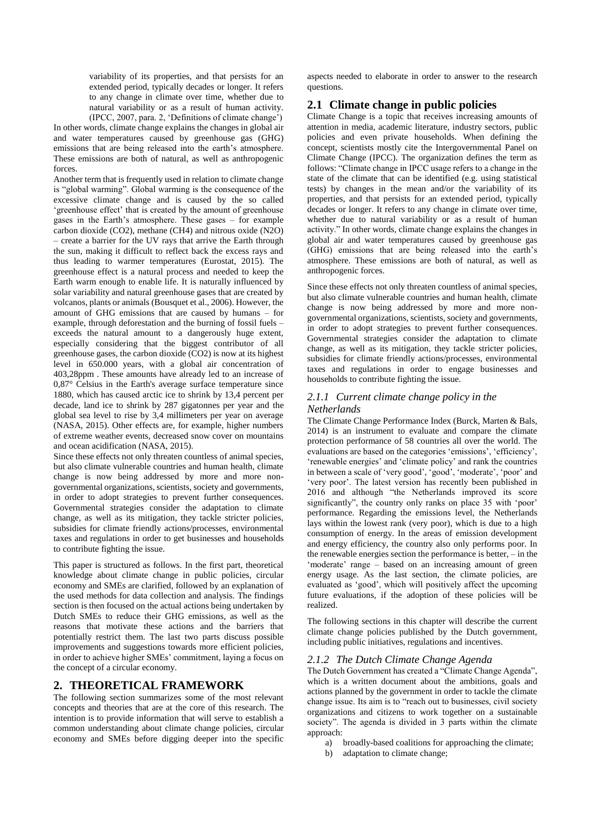variability of its properties, and that persists for an extended period, typically decades or longer. It refers to any change in climate over time, whether due to natural variability or as a result of human activity. (IPCC, 2007, para. 2, 'Definitions of climate change')

In other words, climate change explains the changes in global air and water temperatures caused by greenhouse gas (GHG) emissions that are being released into the earth's atmosphere. These emissions are both of natural, as well as anthropogenic forces.

Another term that is frequently used in relation to climate change is "global warming". Global warming is the consequence of the excessive climate change and is caused by the so called 'greenhouse effect' that is created by the amount of greenhouse gases in the Earth's atmosphere. These gases – for example carbon dioxide (CO2), methane (CH4) and nitrous oxide (N2O) – create a barrier for the UV rays that arrive the Earth through the sun, making it difficult to reflect back the excess rays and thus leading to warmer temperatures (Eurostat, 2015). The greenhouse effect is a natural process and needed to keep the Earth warm enough to enable life. It is naturally influenced by solar variability and natural greenhouse gases that are created by volcanos, plants or animals (Bousquet et al., 2006). However, the amount of GHG emissions that are caused by humans – for example, through deforestation and the burning of fossil fuels – exceeds the natural amount to a dangerously huge extent, especially considering that the biggest contributor of all greenhouse gases, the carbon dioxide (CO2) is now at its highest level in 650.000 years, with a global air concentration of 403,28ppm . These amounts have already led to an increase of 0,87° Celsius in the Earth's average surface temperature since 1880, which has caused arctic ice to shrink by 13,4 percent per decade, land ice to shrink by 287 gigatonnes per year and the global sea level to rise by 3,4 millimeters per year on average (NASA, 2015). Other effects are, for example, higher numbers of extreme weather events, decreased snow cover on mountains and ocean acidification (NASA, 2015).

Since these effects not only threaten countless of animal species, but also climate vulnerable countries and human health, climate change is now being addressed by more and more nongovernmental organizations, scientists, society and governments, in order to adopt strategies to prevent further consequences. Governmental strategies consider the adaptation to climate change, as well as its mitigation, they tackle stricter policies, subsidies for climate friendly actions/processes, environmental taxes and regulations in order to get businesses and households to contribute fighting the issue.

This paper is structured as follows. In the first part, theoretical knowledge about climate change in public policies, circular economy and SMEs are clarified, followed by an explanation of the used methods for data collection and analysis. The findings section is then focused on the actual actions being undertaken by Dutch SMEs to reduce their GHG emissions, as well as the reasons that motivate these actions and the barriers that potentially restrict them. The last two parts discuss possible improvements and suggestions towards more efficient policies, in order to achieve higher SMEs' commitment, laying a focus on the concept of a circular economy.

### **2. THEORETICAL FRAMEWORK**

The following section summarizes some of the most relevant concepts and theories that are at the core of this research. The intention is to provide information that will serve to establish a common understanding about climate change policies, circular economy and SMEs before digging deeper into the specific aspects needed to elaborate in order to answer to the research questions.

## **2.1 Climate change in public policies**

Climate Change is a topic that receives increasing amounts of attention in media, academic literature, industry sectors, public policies and even private households. When defining the concept, scientists mostly cite the Intergovernmental Panel on Climate Change (IPCC). The organization defines the term as follows: "Climate change in IPCC usage refers to a change in the state of the climate that can be identified (e.g. using statistical tests) by changes in the mean and/or the variability of its properties, and that persists for an extended period, typically decades or longer. It refers to any change in climate over time, whether due to natural variability or as a result of human activity." In other words, climate change explains the changes in global air and water temperatures caused by greenhouse gas (GHG) emissions that are being released into the earth's atmosphere. These emissions are both of natural, as well as anthropogenic forces.

Since these effects not only threaten countless of animal species, but also climate vulnerable countries and human health, climate change is now being addressed by more and more nongovernmental organizations, scientists, society and governments, in order to adopt strategies to prevent further consequences. Governmental strategies consider the adaptation to climate change, as well as its mitigation, they tackle stricter policies, subsidies for climate friendly actions/processes, environmental taxes and regulations in order to engage businesses and households to contribute fighting the issue.

#### *2.1.1 Current climate change policy in the Netherlands*

The Climate Change Performance Index (Burck, Marten & Bals, 2014) is an instrument to evaluate and compare the climate protection performance of 58 countries all over the world. The evaluations are based on the categories 'emissions', 'efficiency', 'renewable energies' and 'climate policy' and rank the countries in between a scale of 'very good', 'good', 'moderate', 'poor' and 'very poor'. The latest version has recently been published in 2016 and although "the Netherlands improved its score significantly", the country only ranks on place 35 with 'poor' performance. Regarding the emissions level, the Netherlands lays within the lowest rank (very poor), which is due to a high consumption of energy. In the areas of emission development and energy efficiency, the country also only performs poor. In the renewable energies section the performance is better, – in the 'moderate' range – based on an increasing amount of green energy usage. As the last section, the climate policies, are evaluated as 'good', which will positively affect the upcoming future evaluations, if the adoption of these policies will be realized.

The following sections in this chapter will describe the current climate change policies published by the Dutch government, including public initiatives, regulations and incentives.

#### *2.1.2 The Dutch Climate Change Agenda*

The Dutch Government has created a "Climate Change Agenda", which is a written document about the ambitions, goals and actions planned by the government in order to tackle the climate change issue. Its aim is to "reach out to businesses, civil society organizations and citizens to work together on a sustainable society". The agenda is divided in 3 parts within the climate approach:

- a) broadly-based coalitions for approaching the climate;
- b) adaptation to climate change;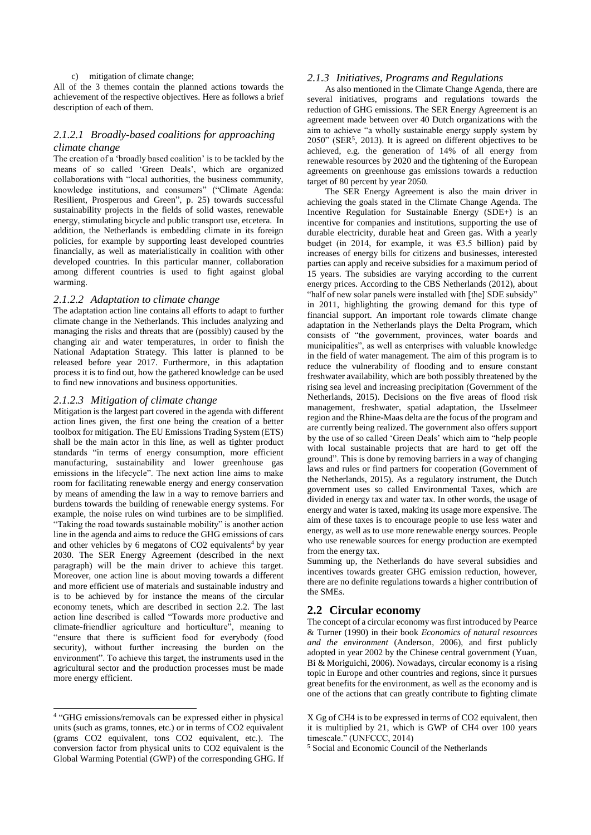#### c) mitigation of climate change;

All of the 3 themes contain the planned actions towards the achievement of the respective objectives. Here as follows a brief description of each of them.

#### *2.1.2.1 Broadly-based coalitions for approaching climate change*

The creation of a 'broadly based coalition' is to be tackled by the means of so called 'Green Deals', which are organized collaborations with "local authorities, the business community, knowledge institutions, and consumers" ("Climate Agenda: Resilient, Prosperous and Green", p. 25) towards successful sustainability projects in the fields of solid wastes, renewable energy, stimulating bicycle and public transport use, etcetera. In addition, the Netherlands is embedding climate in its foreign policies, for example by supporting least developed countries financially, as well as materialistically in coalition with other developed countries. In this particular manner, collaboration among different countries is used to fight against global warming.

#### *2.1.2.2 Adaptation to climate change*

The adaptation action line contains all efforts to adapt to further climate change in the Netherlands. This includes analyzing and managing the risks and threats that are (possibly) caused by the changing air and water temperatures, in order to finish the National Adaptation Strategy. This latter is planned to be released before year 2017. Furthermore, in this adaptation process it is to find out, how the gathered knowledge can be used to find new innovations and business opportunities.

#### *2.1.2.3 Mitigation of climate change*

Mitigation is the largest part covered in the agenda with different action lines given, the first one being the creation of a better toolbox for mitigation. The EU Emissions Trading System (ETS) shall be the main actor in this line, as well as tighter product standards "in terms of energy consumption, more efficient manufacturing, sustainability and lower greenhouse gas emissions in the lifecycle". The next action line aims to make room for facilitating renewable energy and energy conservation by means of amending the law in a way to remove barriers and burdens towards the building of renewable energy systems. For example, the noise rules on wind turbines are to be simplified. "Taking the road towards sustainable mobility" is another action line in the agenda and aims to reduce the GHG emissions of cars and other vehicles by 6 megatons of  $CO2$  equivalents<sup>4</sup> by year 2030. The SER Energy Agreement (described in the next paragraph) will be the main driver to achieve this target. Moreover, one action line is about moving towards a different and more efficient use of materials and sustainable industry and is to be achieved by for instance the means of the circular economy tenets, which are described in section 2.2. The last action line described is called "Towards more productive and climate-friendlier agriculture and horticulture", meaning to "ensure that there is sufficient food for everybody (food security), without further increasing the burden on the environment". To achieve this target, the instruments used in the agricultural sector and the production processes must be made more energy efficient.

1

#### *2.1.3 Initiatives, Programs and Regulations*

As also mentioned in the Climate Change Agenda, there are several initiatives, programs and regulations towards the reduction of GHG emissions. The SER Energy Agreement is an agreement made between over 40 Dutch organizations with the aim to achieve "a wholly sustainable energy supply system by  $2050$ " (SER<sup>5</sup>, 2013). It is agreed on different objectives to be achieved, e.g. the generation of 14% of all energy from renewable resources by 2020 and the tightening of the European agreements on greenhouse gas emissions towards a reduction target of 80 percent by year 2050.

The SER Energy Agreement is also the main driver in achieving the goals stated in the Climate Change Agenda. The Incentive Regulation for Sustainable Energy (SDE+) is an incentive for companies and institutions, supporting the use of durable electricity, durable heat and Green gas. With a yearly budget (in 2014, for example, it was  $63.5$  billion) paid by increases of energy bills for citizens and businesses, interested parties can apply and receive subsidies for a maximum period of 15 years. The subsidies are varying according to the current energy prices. According to the CBS Netherlands (2012), about "half of new solar panels were installed with [the] SDE subsidy" in 2011, highlighting the growing demand for this type of financial support. An important role towards climate change adaptation in the Netherlands plays the Delta Program, which consists of "the government, provinces, water boards and municipalities", as well as enterprises with valuable knowledge in the field of water management. The aim of this program is to reduce the vulnerability of flooding and to ensure constant freshwater availability, which are both possibly threatened by the rising sea level and increasing precipitation (Government of the Netherlands, 2015). Decisions on the five areas of flood risk management, freshwater, spatial adaptation, the IJsselmeer region and the Rhine-Maas delta are the focus of the program and are currently being realized. The government also offers support by the use of so called 'Green Deals' which aim to "help people with local sustainable projects that are hard to get off the ground". This is done by removing barriers in a way of changing laws and rules or find partners for cooperation (Government of the Netherlands, 2015). As a regulatory instrument, the Dutch government uses so called Environmental Taxes, which are divided in energy tax and water tax. In other words, the usage of energy and water is taxed, making its usage more expensive. The aim of these taxes is to encourage people to use less water and energy, as well as to use more renewable energy sources. People who use renewable sources for energy production are exempted from the energy tax.

Summing up, the Netherlands do have several subsidies and incentives towards greater GHG emission reduction, however, there are no definite regulations towards a higher contribution of the SMEs.

## **2.2 Circular economy**

The concept of a circular economy was first introduced by Pearce & Turner (1990) in their book *Economics of natural resources and the environment* (Anderson, 2006), and first publicly adopted in year 2002 by the Chinese central government (Yuan, Bi & Moriguichi, 2006). Nowadays, circular economy is a rising topic in Europe and other countries and regions, since it pursues great benefits for the environment, as well as the economy and is one of the actions that can greatly contribute to fighting climate

<sup>4</sup> "GHG emissions/removals can be expressed either in physical units (such as grams, tonnes, etc.) or in terms of CO2 equivalent (grams CO2 equivalent, tons CO2 equivalent, etc.). The conversion factor from physical units to CO2 equivalent is the Global Warming Potential (GWP) of the corresponding GHG. If

X Gg of CH4 is to be expressed in terms of CO2 equivalent, then it is multiplied by 21, which is GWP of CH4 over 100 years timescale." (UNFCCC, 2014)

<sup>5</sup> Social and Economic Council of the Netherlands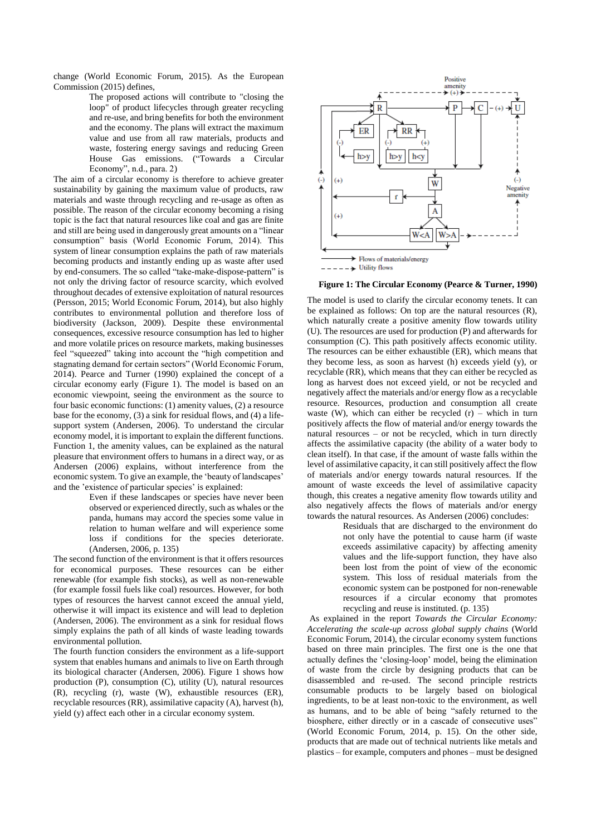change (World Economic Forum, 2015). As the European Commission (2015) defines,

> The proposed actions will contribute to "closing the loop" of product lifecycles through greater recycling and re-use, and bring benefits for both the environment and the economy. The plans will extract the maximum value and use from all raw materials, products and waste, fostering energy savings and reducing Green House Gas emissions. ("Towards a Circular Economy", n.d., para. 2)

The aim of a circular economy is therefore to achieve greater sustainability by gaining the maximum value of products, raw materials and waste through recycling and re-usage as often as possible. The reason of the circular economy becoming a rising topic is the fact that natural resources like coal and gas are finite and still are being used in dangerously great amounts on a "linear consumption" basis (World Economic Forum, 2014). This system of linear consumption explains the path of raw materials becoming products and instantly ending up as waste after used by end-consumers. The so called "take-make-dispose-pattern" is not only the driving factor of resource scarcity, which evolved throughout decades of extensive exploitation of natural resources (Persson, 2015; World Economic Forum, 2014), but also highly contributes to environmental pollution and therefore loss of biodiversity (Jackson, 2009). Despite these environmental consequences, excessive resource consumption has led to higher and more volatile prices on resource markets, making businesses feel "squeezed" taking into account the "high competition and stagnating demand for certain sectors" (World Economic Forum, 2014). Pearce and Turner (1990) explained the concept of a circular economy early (Figure 1). The model is based on an economic viewpoint, seeing the environment as the source to four basic economic functions: (1) amenity values, (2) a resource base for the economy, (3) a sink for residual flows, and (4) a lifesupport system (Andersen, 2006). To understand the circular economy model, it is important to explain the different functions. Function 1, the amenity values, can be explained as the natural pleasure that environment offers to humans in a direct way, or as Andersen (2006) explains, without interference from the economic system. To give an example, the 'beauty of landscapes' and the 'existence of particular species' is explained:

> Even if these landscapes or species have never been observed or experienced directly, such as whales or the panda, humans may accord the species some value in relation to human welfare and will experience some loss if conditions for the species deteriorate. (Andersen, 2006, p. 135)

The second function of the environment is that it offers resources for economical purposes. These resources can be either renewable (for example fish stocks), as well as non-renewable (for example fossil fuels like coal) resources. However, for both types of resources the harvest cannot exceed the annual yield, otherwise it will impact its existence and will lead to depletion (Andersen, 2006). The environment as a sink for residual flows simply explains the path of all kinds of waste leading towards environmental pollution.

The fourth function considers the environment as a life-support system that enables humans and animals to live on Earth through its biological character (Andersen, 2006). Figure 1 shows how production (P), consumption (C), utility (U), natural resources (R), recycling (r), waste (W), exhaustible resources (ER), recyclable resources (RR), assimilative capacity (A), harvest (h), yield (y) affect each other in a circular economy system.



 **Figure 1: The Circular Economy (Pearce & Turner, 1990)**

The model is used to clarify the circular economy tenets. It can be explained as follows: On top are the natural resources (R), which naturally create a positive amenity flow towards utility (U). The resources are used for production (P) and afterwards for consumption (C). This path positively affects economic utility. The resources can be either exhaustible (ER), which means that they become less, as soon as harvest (h) exceeds yield (y), or recyclable (RR), which means that they can either be recycled as long as harvest does not exceed yield, or not be recycled and negatively affect the materials and/or energy flow as a recyclable resource. Resources, production and consumption all create waste (W), which can either be recycled  $(r)$  – which in turn positively affects the flow of material and/or energy towards the natural resources – or not be recycled, which in turn directly affects the assimilative capacity (the ability of a water body to clean itself). In that case, if the amount of waste falls within the level of assimilative capacity, it can still positively affect the flow of materials and/or energy towards natural resources. If the amount of waste exceeds the level of assimilative capacity though, this creates a negative amenity flow towards utility and also negatively affects the flows of materials and/or energy towards the natural resources. As Andersen (2006) concludes:

> Residuals that are discharged to the environment do not only have the potential to cause harm (if waste exceeds assimilative capacity) by affecting amenity values and the life-support function, they have also been lost from the point of view of the economic system. This loss of residual materials from the economic system can be postponed for non-renewable resources if a circular economy that promotes recycling and reuse is instituted. (p. 135)

As explained in the report *Towards the Circular Economy: Accelerating the scale-up across global supply chains* (World Economic Forum, 2014), the circular economy system functions based on three main principles. The first one is the one that actually defines the 'closing-loop' model, being the elimination of waste from the circle by designing products that can be disassembled and re-used. The second principle restricts consumable products to be largely based on biological ingredients, to be at least non-toxic to the environment, as well as humans, and to be able of being "safely returned to the biosphere, either directly or in a cascade of consecutive uses" (World Economic Forum, 2014, p. 15). On the other side, products that are made out of technical nutrients like metals and plastics – for example, computers and phones – must be designed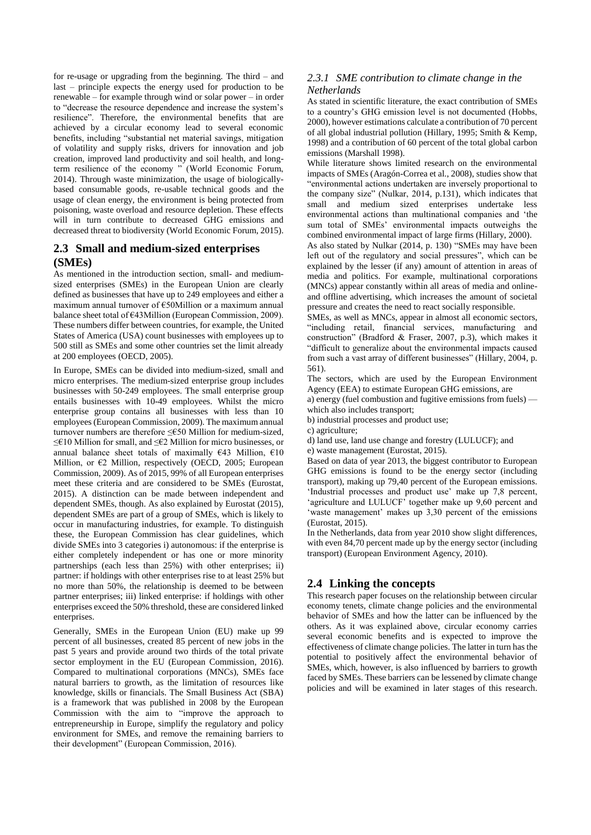for re-usage or upgrading from the beginning. The third – and last – principle expects the energy used for production to be renewable – for example through wind or solar power – in order to "decrease the resource dependence and increase the system's resilience". Therefore, the environmental benefits that are achieved by a circular economy lead to several economic benefits, including "substantial net material savings, mitigation of volatility and supply risks, drivers for innovation and job creation, improved land productivity and soil health, and longterm resilience of the economy " (World Economic Forum, 2014). Through waste minimization, the usage of biologicallybased consumable goods, re-usable technical goods and the usage of clean energy, the environment is being protected from poisoning, waste overload and resource depletion. These effects will in turn contribute to decreased GHG emissions and decreased threat to biodiversity (World Economic Forum, 2015).

## **2.3 Small and medium-sized enterprises (SMEs)**

As mentioned in the introduction section, small- and mediumsized enterprises (SMEs) in the European Union are clearly defined as businesses that have up to 249 employees and either a maximum annual turnover of €50Million or a maximum annual balance sheet total of €43Million (European Commission, 2009). These numbers differ between countries, for example, the United States of America (USA) count businesses with employees up to 500 still as SMEs and some other countries set the limit already at 200 employees (OECD, 2005).

In Europe, SMEs can be divided into medium-sized, small and micro enterprises. The medium-sized enterprise group includes businesses with 50-249 employees. The small enterprise group entails businesses with 10-49 employees. Whilst the micro enterprise group contains all businesses with less than 10 employees (European Commission, 2009). The maximum annual turnover numbers are therefore ≤€50 Million for medium-sized, ≤€10 Million for small, and ≤€2 Million for micro businesses, or annual balance sheet totals of maximally  $\epsilon$ 43 Million,  $\epsilon$ 10 Million, or €2 Million, respectively (OECD, 2005; European Commission, 2009). As of 2015, 99% of all European enterprises meet these criteria and are considered to be SMEs (Eurostat, 2015). A distinction can be made between independent and dependent SMEs, though. As also explained by Eurostat (2015), dependent SMEs are part of a group of SMEs, which is likely to occur in manufacturing industries, for example. To distinguish these, the European Commission has clear guidelines, which divide SMEs into 3 categories i) autonomous: if the enterprise is either completely independent or has one or more minority partnerships (each less than 25%) with other enterprises; ii) partner: if holdings with other enterprises rise to at least 25% but no more than 50%, the relationship is deemed to be between partner enterprises; iii) linked enterprise: if holdings with other enterprises exceed the 50% threshold, these are considered linked enterprises.

Generally, SMEs in the European Union (EU) make up 99 percent of all businesses, created 85 percent of new jobs in the past 5 years and provide around two thirds of the total private sector employment in the EU (European Commission, 2016). Compared to multinational corporations (MNCs), SMEs face natural barriers to growth, as the limitation of resources like knowledge, skills or financials. The Small Business Act (SBA) is a framework that was published in 2008 by the European Commission with the aim to "improve the approach to entrepreneurship in Europe, simplify the regulatory and policy environment for SMEs, and remove the remaining barriers to their development" (European Commission, 2016).

## *2.3.1 SME contribution to climate change in the Netherlands*

As stated in scientific literature, the exact contribution of SMEs to a country's GHG emission level is not documented (Hobbs, 2000), however estimations calculate a contribution of 70 percent of all global industrial pollution (Hillary, 1995; Smith & Kemp, 1998) and a contribution of 60 percent of the total global carbon emissions (Marshall 1998).

While literature shows limited research on the environmental impacts of SMEs (Aragón-Correa et al., 2008), studies show that "environmental actions undertaken are inversely proportional to the company size" (Nulkar, 2014, p.131), which indicates that small and medium sized enterprises undertake less environmental actions than multinational companies and 'the sum total of SMEs' environmental impacts outweighs the combined environmental impact of large firms (Hillary, 2000).

As also stated by Nulkar (2014, p. 130) "SMEs may have been left out of the regulatory and social pressures", which can be explained by the lesser (if any) amount of attention in areas of media and politics. For example, multinational corporations (MNCs) appear constantly within all areas of media and onlineand offline advertising, which increases the amount of societal pressure and creates the need to react socially responsible.

SMEs, as well as MNCs, appear in almost all economic sectors, "including retail, financial services, manufacturing and construction" (Bradford & Fraser, 2007, p.3), which makes it "difficult to generalize about the environmental impacts caused from such a vast array of different businesses" (Hillary, 2004, p. 561).

The sectors, which are used by the European Environment Agency (EEA) to estimate European GHG emissions, are

a) energy (fuel combustion and fugitive emissions from fuels) which also includes transport;

b) industrial processes and product use;

c) agriculture;

d) land use, land use change and forestry (LULUCF); and

e) waste management (Eurostat, 2015).

Based on data of year 2013, the biggest contributor to European GHG emissions is found to be the energy sector (including transport), making up 79,40 percent of the European emissions. 'Industrial processes and product use' make up 7,8 percent, 'agriculture and LULUCF' together make up 9,60 percent and 'waste management' makes up 3,30 percent of the emissions (Eurostat, 2015).

In the Netherlands, data from year 2010 show slight differences, with even 84,70 percent made up by the energy sector (including transport) (European Environment Agency, 2010).

## **2.4 Linking the concepts**

This research paper focuses on the relationship between circular economy tenets, climate change policies and the environmental behavior of SMEs and how the latter can be influenced by the others. As it was explained above, circular economy carries several economic benefits and is expected to improve the effectiveness of climate change policies. The latter in turn has the potential to positively affect the environmental behavior of SMEs, which, however, is also influenced by barriers to growth faced by SMEs. These barriers can be lessened by climate change policies and will be examined in later stages of this research.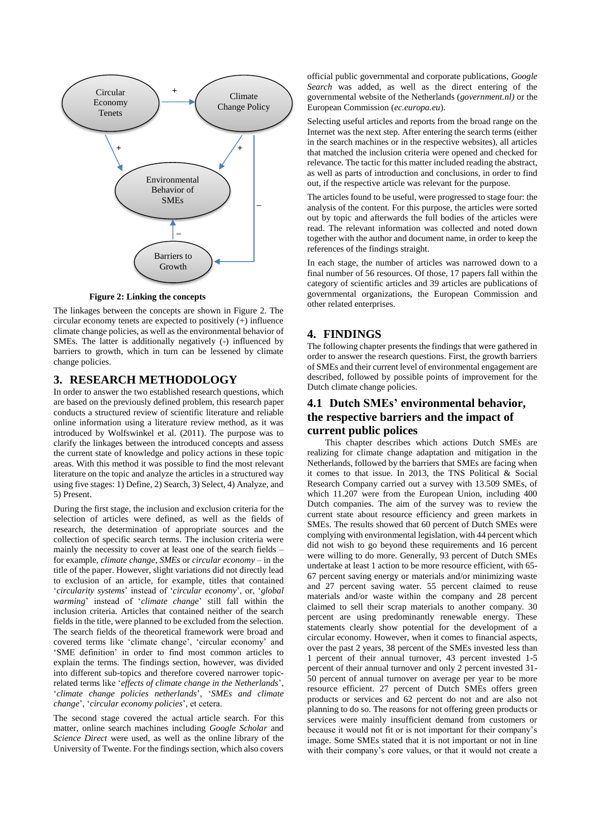

**Figure 2: Linking the concepts**

The linkages between the concepts are shown in Figure 2. The circular economy tenets are expected to positively (+) influence climate change policies, as well as the environmental behavior of SMEs. The latter is additionally negatively (-) influenced by barriers to growth, which in turn can be lessened by climate change policies.

## **3. RESEARCH METHODOLOGY**

In order to answer the two established research questions, which are based on the previously defined problem, this research paper conducts a structured review of scientific literature and reliable online information using a literature review method, as it was introduced by Wolfswinkel et al. (2011). The purpose was to clarify the linkages between the introduced concepts and assess the current state of knowledge and policy actions in these topic areas. With this method it was possible to find the most relevant literature on the topic and analyze the articles in a structured way using five stages:  $\hat{1}$ ) Define, 2) Search, 3) Select, 4) Analyze, and 5) Present.

During the first stage, the inclusion and exclusion criteria for the selection of articles were defined, as well as the fields of research, the determination of appropriate sources and the collection of specific search terms. The inclusion criteria were mainly the necessity to cover at least one of the search fields – for example, *climate change*, *SMEs* or *circular economy* – in the title of the paper. However, slight variations did not directly lead to exclusion of an article, for example, titles that contained '*circularity systems*' instead of '*circular economy*', or, '*global warming*' instead of '*climate change*' still fall within the inclusion criteria. Articles that contained neither of the search fields in the title, were planned to be excluded from the selection. The search fields of the theoretical framework were broad and covered terms like 'climate change', 'circular economy' and 'SME definition' in order to find most common articles to explain the terms. The findings section, however, was divided into different sub-topics and therefore covered narrower topicrelated terms like '*effects of climate change in the Netherlands*', '*climate change policies netherlands*', '*SMEs and climate change*', '*circular economy policies*', et cetera.

The second stage covered the actual article search. For this matter, online search machines including *Google Scholar* and *Science Direct* were used, as well as the online library of the University of Twente. For the findings section, which also covers

official public governmental and corporate publications, *Google Search* was added, as well as the direct entering of the governmental website of the Netherlands (*government.nl)* or the European Commission (*ec.europa.eu*).

Selecting useful articles and reports from the broad range on the Internet was the next step. After entering the search terms (either in the search machines or in the respective websites), all articles that matched the inclusion criteria were opened and checked for relevance. The tactic for this matter included reading the abstract, as well as parts of introduction and conclusions, in order to find out, if the respective article was relevant for the purpose.

The articles found to be useful, were progressed to stage four: the analysis of the content. For this purpose, the articles were sorted out by topic and afterwards the full bodies of the articles were read. The relevant information was collected and noted down together with the author and document name, in order to keep the references of the findings straight.

In each stage, the number of articles was narrowed down to a final number of 56 resources. Of those, 17 papers fall within the category of scientific articles and 39 articles are publications of governmental organizations, the European Commission and other related enterprises.

## **4. FINDINGS**

The following chapter presents the findings that were gathered in order to answer the research questions. First, the growth barriers of SMEs and their current level of environmental engagement are described, followed by possible points of improvement for the Dutch climate change policies.

## **4.1 Dutch SMEs' environmental behavior, the respective barriers and the impact of current public polices**

This chapter describes which actions Dutch SMEs are realizing for climate change adaptation and mitigation in the Netherlands, followed by the barriers that SMEs are facing when it comes to that issue. In 2013, the TNS Political & Social Research Company carried out a survey with 13.509 SMEs, of which 11.207 were from the European Union, including 400 Dutch companies. The aim of the survey was to review the current state about resource efficiency and green markets in SMEs. The results showed that 60 percent of Dutch SMEs were complying with environmental legislation, with 44 percent which did not wish to go beyond these requirements and 16 percent were willing to do more. Generally, 93 percent of Dutch SMEs undertake at least 1 action to be more resource efficient, with 65- 67 percent saving energy or materials and/or minimizing waste and 27 percent saving water. 55 percent claimed to reuse materials and/or waste within the company and 28 percent claimed to sell their scrap materials to another company. 30 percent are using predominantly renewable energy. These statements clearly show potential for the development of a circular economy. However, when it comes to financial aspects, over the past 2 years, 38 percent of the SMEs invested less than 1 percent of their annual turnover, 43 percent invested 1-5 percent of their annual turnover and only 2 percent invested 31- 50 percent of annual turnover on average per year to be more resource efficient. 27 percent of Dutch SMEs offers green products or services and 62 percent do not and are also not planning to do so. The reasons for not offering green products or services were mainly insufficient demand from customers or because it would not fit or is not important for their company's image. Some SMEs stated that it is not important or not in line with their company's core values, or that it would not create a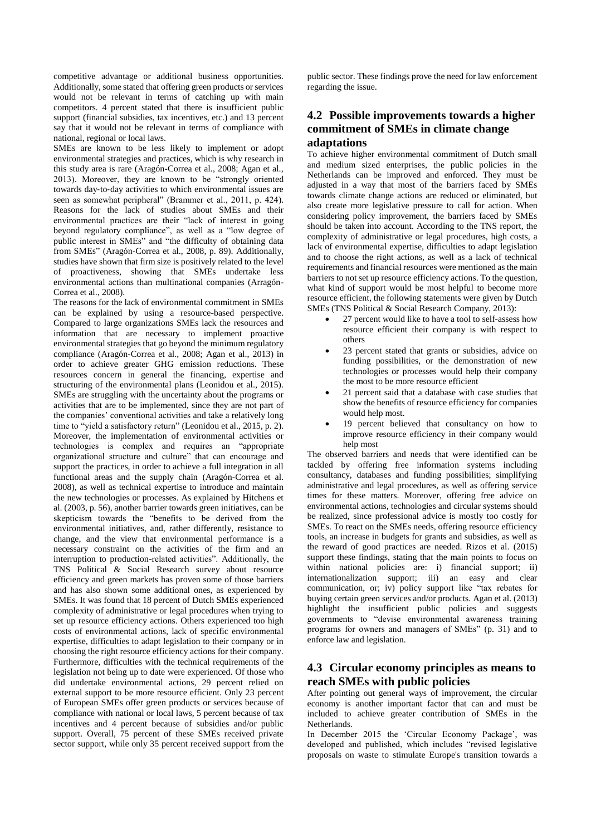competitive advantage or additional business opportunities. Additionally, some stated that offering green products or services would not be relevant in terms of catching up with main competitors. 4 percent stated that there is insufficient public support (financial subsidies, tax incentives, etc.) and 13 percent say that it would not be relevant in terms of compliance with national, regional or local laws.

SMEs are known to be less likely to implement or adopt environmental strategies and practices, which is why research in this study area is rare (Aragón-Correa et al., 2008; Agan et al., 2013). Moreover, they are known to be "strongly oriented towards day‐to‐day activities to which environmental issues are seen as somewhat peripheral" (Brammer et al., 2011, p. 424). Reasons for the lack of studies about SMEs and their environmental practices are their "lack of interest in going beyond regulatory compliance", as well as a "low degree of public interest in SMEs" and "the difficulty of obtaining data from SMEs" (Aragón-Correa et al., 2008, p. 89). Additionally, studies have shown that firm size is positively related to the level of proactiveness, showing that SMEs undertake less environmental actions than multinational companies (Arragón-Correa et al., 2008).

The reasons for the lack of environmental commitment in SMEs can be explained by using a resource-based perspective. Compared to large organizations SMEs lack the resources and information that are necessary to implement proactive environmental strategies that go beyond the minimum regulatory compliance (Aragón-Correa et al., 2008; Agan et al., 2013) in order to achieve greater GHG emission reductions. These resources concern in general the financing, expertise and structuring of the environmental plans (Leonidou et al., 2015). SMEs are struggling with the uncertainty about the programs or activities that are to be implemented, since they are not part of the companies' conventional activities and take a relatively long time to "yield a satisfactory return" (Leonidou et al., 2015, p. 2). Moreover, the implementation of environmental activities or technologies is complex and requires an "appropriate organizational structure and culture" that can encourage and support the practices, in order to achieve a full integration in all functional areas and the supply chain (Aragón-Correa et al. 2008), as well as technical expertise to introduce and maintain the new technologies or processes. As explained by Hitchens et al. (2003, p. 56), another barrier towards green initiatives, can be skepticism towards the "benefits to be derived from the environmental initiatives, and, rather differently, resistance to change, and the view that environmental performance is a necessary constraint on the activities of the firm and an interruption to production-related activities". Additionally, the TNS Political & Social Research survey about resource efficiency and green markets has proven some of those barriers and has also shown some additional ones, as experienced by SMEs. It was found that 18 percent of Dutch SMEs experienced complexity of administrative or legal procedures when trying to set up resource efficiency actions. Others experienced too high costs of environmental actions, lack of specific environmental expertise, difficulties to adapt legislation to their company or in choosing the right resource efficiency actions for their company. Furthermore, difficulties with the technical requirements of the legislation not being up to date were experienced. Of those who did undertake environmental actions, 29 percent relied on external support to be more resource efficient. Only 23 percent of European SMEs offer green products or services because of compliance with national or local laws, 5 percent because of tax incentives and 4 percent because of subsidies and/or public support. Overall, 75 percent of these SMEs received private sector support, while only 35 percent received support from the

public sector. These findings prove the need for law enforcement regarding the issue.

## **4.2 Possible improvements towards a higher commitment of SMEs in climate change adaptations**

To achieve higher environmental commitment of Dutch small and medium sized enterprises, the public policies in the Netherlands can be improved and enforced. They must be adjusted in a way that most of the barriers faced by SMEs towards climate change actions are reduced or eliminated, but also create more legislative pressure to call for action. When considering policy improvement, the barriers faced by SMEs should be taken into account. According to the TNS report, the complexity of administrative or legal procedures, high costs, a lack of environmental expertise, difficulties to adapt legislation and to choose the right actions, as well as a lack of technical requirements and financial resources were mentioned as the main barriers to not set up resource efficiency actions. To the question, what kind of support would be most helpful to become more resource efficient, the following statements were given by Dutch SMEs (TNS Political & Social Research Company, 2013):

- 27 percent would like to have a tool to self-assess how resource efficient their company is with respect to others
- 23 percent stated that grants or subsidies, advice on funding possibilities, or the demonstration of new technologies or processes would help their company the most to be more resource efficient
- 21 percent said that a database with case studies that show the benefits of resource efficiency for companies would help most.
- 19 percent believed that consultancy on how to improve resource efficiency in their company would help most

The observed barriers and needs that were identified can be tackled by offering free information systems including consultancy, databases and funding possibilities; simplifying administrative and legal procedures, as well as offering service times for these matters. Moreover, offering free advice on environmental actions, technologies and circular systems should be realized, since professional advice is mostly too costly for SMEs. To react on the SMEs needs, offering resource efficiency tools, an increase in budgets for grants and subsidies, as well as the reward of good practices are needed. Rizos et al. (2015) support these findings, stating that the main points to focus on within national policies are: i) financial support; ii) internationalization support; iii) an easy and clear communication, or; iv) policy support like "tax rebates for buying certain green services and/or products. Agan et al. (2013) highlight the insufficient public policies and suggests governments to "devise environmental awareness training programs for owners and managers of SMEs" (p. 31) and to enforce law and legislation.

## **4.3 Circular economy principles as means to reach SMEs with public policies**

After pointing out general ways of improvement, the circular economy is another important factor that can and must be included to achieve greater contribution of SMEs in the Netherlands.

In December 2015 the 'Circular Economy Package', was developed and published, which includes "revised legislative proposals on waste to stimulate Europe's transition towards a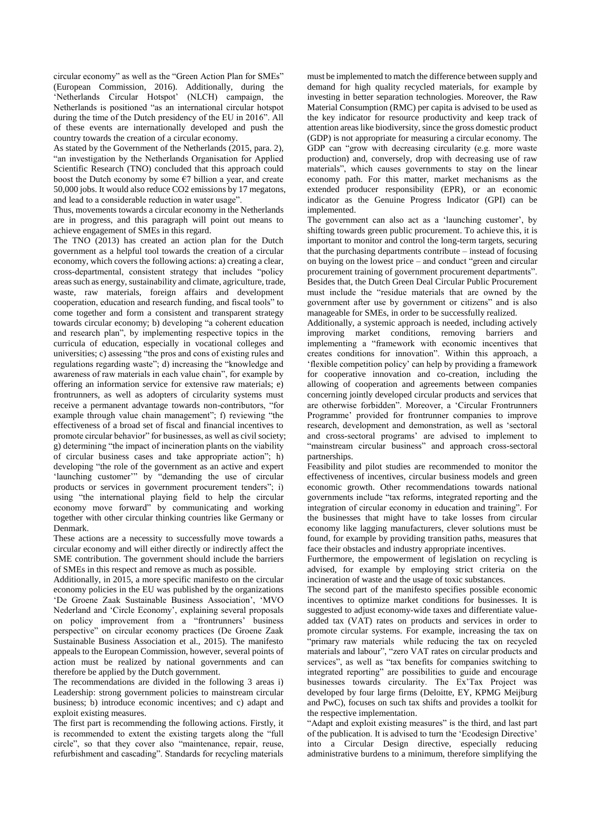circular economy" as well as the "Green Action Plan for SMEs" (European Commission, 2016). Additionally, during the 'Netherlands Circular Hotspot' (NLCH) campaign, the Netherlands is positioned "as an international circular hotspot during the time of the Dutch presidency of the EU in 2016". All of these events are internationally developed and push the country towards the creation of a circular economy.

As stated by the Government of the Netherlands (2015, para. 2), "an investigation by the Netherlands Organisation for Applied Scientific Research (TNO) concluded that this approach could boost the Dutch economy by some  $\epsilon$ 7 billion a year, and create 50,000 jobs. It would also reduce CO2 emissions by 17 megatons, and lead to a considerable reduction in water usage".

Thus, movements towards a circular economy in the Netherlands are in progress, and this paragraph will point out means to achieve engagement of SMEs in this regard.

The TNO (2013) has created an action plan for the Dutch government as a helpful tool towards the creation of a circular economy, which covers the following actions: a) creating a clear, cross-departmental, consistent strategy that includes "policy areas such as energy, sustainability and climate, agriculture, trade, waste, raw materials, foreign affairs and development cooperation, education and research funding, and fiscal tools" to come together and form a consistent and transparent strategy towards circular economy; b) developing "a coherent education and research plan", by implementing respective topics in the curricula of education, especially in vocational colleges and universities; c) assessing "the pros and cons of existing rules and regulations regarding waste"; d) increasing the "knowledge and awareness of raw materials in each value chain", for example by offering an information service for extensive raw materials; e) frontrunners, as well as adopters of circularity systems must receive a permanent advantage towards non-contributors, "for example through value chain management"; f) reviewing "the effectiveness of a broad set of fiscal and financial incentives to promote circular behavior" for businesses, as well as civil society; g) determining "the impact of incineration plants on the viability of circular business cases and take appropriate action"; h) developing "the role of the government as an active and expert 'launching customer'" by "demanding the use of circular products or services in government procurement tenders"; i) using "the international playing field to help the circular economy move forward" by communicating and working together with other circular thinking countries like Germany or Denmark.

These actions are a necessity to successfully move towards a circular economy and will either directly or indirectly affect the SME contribution. The government should include the barriers of SMEs in this respect and remove as much as possible.

Additionally, in 2015, a more specific manifesto on the circular economy policies in the EU was published by the organizations 'De Groene Zaak Sustainable Business Association', 'MVO Nederland and 'Circle Economy', explaining several proposals on policy improvement from a "frontrunners' business perspective" on circular economy practices (De Groene Zaak Sustainable Business Association et al., 2015). The manifesto appeals to the European Commission, however, several points of action must be realized by national governments and can therefore be applied by the Dutch government.

The recommendations are divided in the following 3 areas i) Leadership: strong government policies to mainstream circular business; b) introduce economic incentives; and c) adapt and exploit existing measures.

The first part is recommending the following actions. Firstly, it is recommended to extent the existing targets along the "full circle", so that they cover also "maintenance, repair, reuse, refurbishment and cascading". Standards for recycling materials must be implemented to match the difference between supply and demand for high quality recycled materials, for example by investing in better separation technologies. Moreover, the Raw Material Consumption (RMC) per capita is advised to be used as the key indicator for resource productivity and keep track of attention areas like biodiversity, since the gross domestic product (GDP) is not appropriate for measuring a circular economy. The GDP can "grow with decreasing circularity (e.g. more waste production) and, conversely, drop with decreasing use of raw materials", which causes governments to stay on the linear economy path. For this matter, market mechanisms as the extended producer responsibility (EPR), or an economic indicator as the Genuine Progress Indicator (GPI) can be implemented.

The government can also act as a 'launching customer', by shifting towards green public procurement. To achieve this, it is important to monitor and control the long-term targets, securing that the purchasing departments contribute – instead of focusing on buying on the lowest price – and conduct "green and circular procurement training of government procurement departments". Besides that, the Dutch Green Deal Circular Public Procurement must include the "residue materials that are owned by the government after use by government or citizens" and is also manageable for SMEs, in order to be successfully realized.

Additionally, a systemic approach is needed, including actively improving market conditions, removing barriers and implementing a "framework with economic incentives that creates conditions for innovation". Within this approach, a 'flexible competition policy' can help by providing a framework for cooperative innovation and co-creation, including the allowing of cooperation and agreements between companies concerning jointly developed circular products and services that are otherwise forbidden". Moreover, a 'Circular Frontrunners Programme' provided for frontrunner companies to improve research, development and demonstration, as well as 'sectoral and cross-sectoral programs' are advised to implement to "mainstream circular business" and approach cross-sectoral partnerships.

Feasibility and pilot studies are recommended to monitor the effectiveness of incentives, circular business models and green economic growth. Other recommendations towards national governments include "tax reforms, integrated reporting and the integration of circular economy in education and training". For the businesses that might have to take losses from circular economy like lagging manufacturers, clever solutions must be found, for example by providing transition paths, measures that face their obstacles and industry appropriate incentives.

Furthermore, the empowerment of legislation on recycling is advised, for example by employing strict criteria on the incineration of waste and the usage of toxic substances.

The second part of the manifesto specifies possible economic incentives to optimize market conditions for businesses. It is suggested to adjust economy-wide taxes and differentiate valueadded tax (VAT) rates on products and services in order to promote circular systems. For example, increasing the tax on "primary raw materials while reducing the tax on recycled materials and labour", "zero VAT rates on circular products and services", as well as "tax benefits for companies switching to integrated reporting" are possibilities to guide and encourage businesses towards circularity. The Ex'Tax Project was developed by four large firms (Deloitte, EY, KPMG Meijburg and PwC), focuses on such tax shifts and provides a toolkit for the respective implementation.

"Adapt and exploit existing measures" is the third, and last part of the publication. It is advised to turn the 'Ecodesign Directive' into a Circular Design directive, especially reducing administrative burdens to a minimum, therefore simplifying the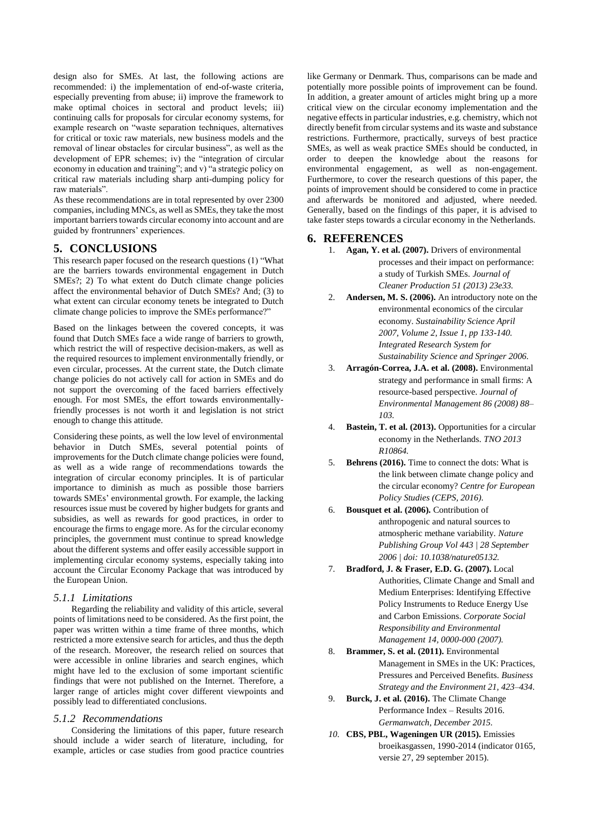design also for SMEs. At last, the following actions are recommended: i) the implementation of end-of-waste criteria, especially preventing from abuse; ii) improve the framework to make optimal choices in sectoral and product levels; iii) continuing calls for proposals for circular economy systems, for example research on "waste separation techniques, alternatives for critical or toxic raw materials, new business models and the removal of linear obstacles for circular business", as well as the development of EPR schemes; iv) the "integration of circular economy in education and training"; and v) "a strategic policy on critical raw materials including sharp anti-dumping policy for raw materials".

As these recommendations are in total represented by over 2300 companies, including MNCs, as well as SMEs, they take the most important barriers towards circular economy into account and are guided by frontrunners' experiences.

## **5. CONCLUSIONS**

This research paper focused on the research questions (1) "What are the barriers towards environmental engagement in Dutch SMEs?; 2) To what extent do Dutch climate change policies affect the environmental behavior of Dutch SMEs? And; (3) to what extent can circular economy tenets be integrated to Dutch climate change policies to improve the SMEs performance?"

Based on the linkages between the covered concepts, it was found that Dutch SMEs face a wide range of barriers to growth, which restrict the will of respective decision-makers, as well as the required resources to implement environmentally friendly, or even circular, processes. At the current state, the Dutch climate change policies do not actively call for action in SMEs and do not support the overcoming of the faced barriers effectively enough. For most SMEs, the effort towards environmentallyfriendly processes is not worth it and legislation is not strict enough to change this attitude.

Considering these points, as well the low level of environmental behavior in Dutch SMEs, several potential points of improvements for the Dutch climate change policies were found, as well as a wide range of recommendations towards the integration of circular economy principles. It is of particular importance to diminish as much as possible those barriers towards SMEs' environmental growth. For example, the lacking resources issue must be covered by higher budgets for grants and subsidies, as well as rewards for good practices, in order to encourage the firms to engage more. As for the circular economy principles, the government must continue to spread knowledge about the different systems and offer easily accessible support in implementing circular economy systems, especially taking into account the Circular Economy Package that was introduced by the European Union.

#### *5.1.1 Limitations*

Regarding the reliability and validity of this article, several points of limitations need to be considered. As the first point, the paper was written within a time frame of three months, which restricted a more extensive search for articles, and thus the depth of the research. Moreover, the research relied on sources that were accessible in online libraries and search engines, which might have led to the exclusion of some important scientific findings that were not published on the Internet. Therefore, a larger range of articles might cover different viewpoints and possibly lead to differentiated conclusions.

#### *5.1.2 Recommendations*

Considering the limitations of this paper, future research should include a wider search of literature, including, for example, articles or case studies from good practice countries like Germany or Denmark. Thus, comparisons can be made and potentially more possible points of improvement can be found. In addition, a greater amount of articles might bring up a more critical view on the circular economy implementation and the negative effects in particular industries, e.g. chemistry, which not directly benefit from circular systems and its waste and substance restrictions. Furthermore, practically, surveys of best practice SMEs, as well as weak practice SMEs should be conducted, in order to deepen the knowledge about the reasons for environmental engagement, as well as non-engagement. Furthermore, to cover the research questions of this paper, the points of improvement should be considered to come in practice and afterwards be monitored and adjusted, where needed. Generally, based on the findings of this paper, it is advised to take faster steps towards a circular economy in the Netherlands.

### **6. REFERENCES**

- 1. **Agan, Y. et al. (2007).** Drivers of environmental processes and their impact on performance: a study of Turkish SMEs. *Journal of Cleaner Production 51 (2013) 23e33.*
- 2. **Andersen, M. S. (2006).** An introductory note on the environmental economics of the circular economy. *Sustainability Science April 2007, Volume 2, Issue 1, pp 133-140. Integrated Research System for Sustainability Science and Springer 2006.*
- 3. **Arragón-Correa, J.A. et al. (2008).** Environmental strategy and performance in small firms: A resource-based perspective. *Journal of Environmental Management 86 (2008) 88– 103.*
- 4. **Bastein, T. et al. (2013).** Opportunities for a circular economy in the Netherlands. *TNO 2013 R10864.*
- 5. **Behrens (2016).** Time to connect the dots: What is the link between climate change policy and the circular economy? *Centre for European Policy Studies (CEPS, 2016).*
- 6. **Bousquet et al. (2006).** Contribution of anthropogenic and natural sources to atmospheric methane variability. *Nature Publishing Group Vol 443 | 28 September 2006 | doi: 10.1038/nature05132.*
- 7. **Bradford, J. & Fraser, E.D. G. (2007).** Local Authorities, Climate Change and Small and Medium Enterprises: Identifying Effective Policy Instruments to Reduce Energy Use and Carbon Emissions. *Corporate Social Responsibility and Environmental Management 14, 0000-000 (2007).*
- 8. **Brammer, S. et al. (2011).** Environmental Management in SMEs in the UK: Practices, Pressures and Perceived Benefits. *Business Strategy and the Environment 21, 423–434.*
- 9. **Burck, J. et al. (2016).** The Climate Change Performance Index – Results 2016. *Germanwatch, December 2015.*
- *10.* **CBS, PBL, Wageningen UR (2015).** Emissies broeikasgassen, 1990-2014 (indicator 0165, versie 27, 29 september 2015).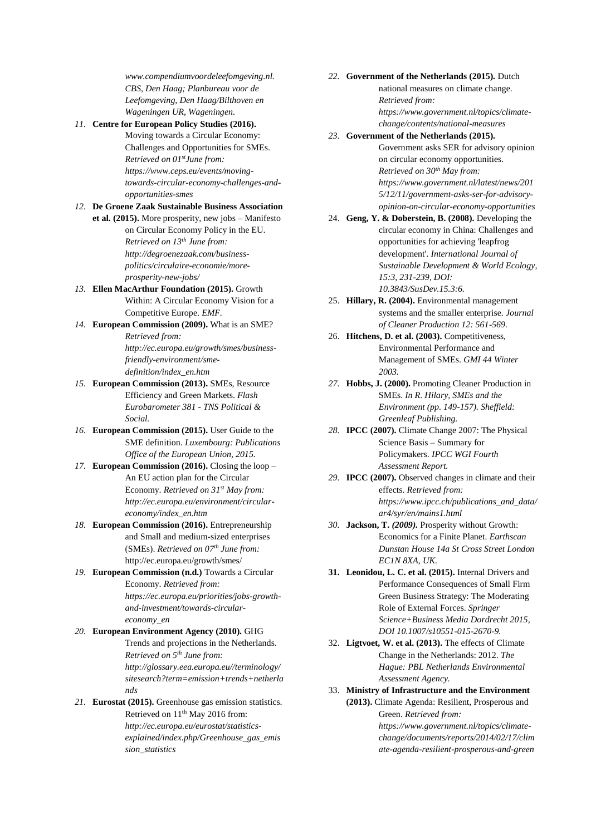*www.compendiumvoordeleefomgeving.nl. CBS, Den Haag; Planbureau voor de Leefomgeving, Den Haag/Bilthoven en Wageningen UR, Wageningen.*

- *11.* **Centre for European Policy Studies (2016).**
	- Moving towards a Circular Economy: Challenges and Opportunities for SMEs. *Retrieved on 01stJune from: https://www.ceps.eu/events/movingtowards-circular-economy-challenges-andopportunities-smes*

#### *12.* **De Groene Zaak Sustainable Business Association**

- **et al. (2015).** More prosperity, new jobs Manifesto on Circular Economy Policy in the EU. *Retrieved on 13th June from: [http://degroenezaak.com/business](http://degroenezaak.com/business-politics/circulaire-economie/more-prosperity-new-jobs/)[politics/circulaire-economie/more](http://degroenezaak.com/business-politics/circulaire-economie/more-prosperity-new-jobs/)[prosperity-new-jobs/](http://degroenezaak.com/business-politics/circulaire-economie/more-prosperity-new-jobs/)*
- *13.* **Ellen MacArthur Foundation (2015).** Growth Within: A Circular Economy Vision for a Competitive Europe. *EMF.*
- *14.* **European Commission (2009).** What is an SME? *Retrieved from: [http://ec.europa.eu/growth/smes/business](http://ec.europa.eu/growth/smes/business-friendly-environment/sme-definition/index_en.htm)[friendly-environment/sme](http://ec.europa.eu/growth/smes/business-friendly-environment/sme-definition/index_en.htm)[definition/index\\_en.htm](http://ec.europa.eu/growth/smes/business-friendly-environment/sme-definition/index_en.htm)*
- *15.* **European Commission (2013).** SMEs, Resource Efficiency and Green Markets. *Flash Eurobarometer 381 - TNS Political & Social.*
- *16.* **European Commission (2015).** User Guide to the SME definition. *Luxembourg: Publications Office of the European Union, 2015.*
- *17.* **European Commission (2016).** Closing the loop An EU action plan for the Circular Economy. *Retrieved on 31st May from: [http://ec.europa.eu/environment/circular](http://ec.europa.eu/environment/circular-economy/index_en.htm)[economy/index\\_en.htm](http://ec.europa.eu/environment/circular-economy/index_en.htm)*
- *18.* **European Commission (2016).** Entrepreneurship and Small and medium-sized enterprises (SMEs). *Retrieved on 07th June from:*  <http://ec.europa.eu/growth/smes/>
- *19.* **European Commission (n.d.)** Towards a Circular Economy. *Retrieved from: https://ec.europa.eu/priorities/jobs-growthand-investment/towards-circulareconomy\_en*
- *20.* **European Environment Agency (2010).** GHG Trends and projections in the Netherlands. *Retrieved on 5th June from: http://glossary.eea.europa.eu//terminology/ sitesearch?term=emission+trends+netherla nds*
- *21.* **Eurostat (2015).** Greenhouse gas emission statistics. Retrieved on 11th May 2016 from: *http://ec.europa.eu/eurostat/statisticsexplained/index.php/Greenhouse\_gas\_emis sion\_statistics*

# *22.* **Government of the Netherlands (2015).** Dutch

national measures on climate change. *Retrieved from: [https://www.government.nl/topics/climate](https://www.government.nl/topics/climate-change/contents/national-measures)[change/contents/national-measures](https://www.government.nl/topics/climate-change/contents/national-measures)*

- *23.* **Government of the Netherlands (2015).** Government asks SER for advisory opinion on circular economy opportunities. *Retrieved on 30th May from: https://www.government.nl/latest/news/201 5/12/11/government-asks-ser-for-advisoryopinion-on-circular-economy-opportunities*
- 24. **Geng, Y. & Doberstein, B. (2008).** Developing the circular economy in China: Challenges and opportunities for achieving 'leapfrog development'. *International Journal of Sustainable Development & World Ecology, 15:3, 231-239, DOI: 10.3843/SusDev.15.3:6.*
- 25. **Hillary, R. (2004).** Environmental management systems and the smaller enterprise. *Journal of Cleaner Production 12: 561-569.*
- 26. **Hitchens, D. et al. (2003).** Competitiveness, Environmental Performance and Management of SMEs. *GMI 44 Winter 2003.*
- *27.* **Hobbs, J. (2000).** Promoting Cleaner Production in SMEs. *In R. Hilary, SMEs and the Environment (pp. 149-157). Sheffield: Greenleaf Publishing.*
- *28.* **IPCC (2007).** Climate Change 2007: The Physical Science Basis – Summary for Policymakers. *IPCC WGI Fourth Assessment Report.*
- *29.* **IPCC (2007).** Observed changes in climate and their effects. *Retrieved from: https://www.ipcc.ch/publications\_and\_data/ ar4/syr/en/mains1.html*
- *30.* **Jackson, T.** *(2009).* Prosperity without Growth: Economics for a Finite Planet. *Earthscan Dunstan House 14a St Cross Street London EC1N 8XA, UK.*
- **31. Leonidou, L. C. et al. (2015).** Internal Drivers and Performance Consequences of Small Firm Green Business Strategy: The Moderating Role of External Forces. *Springer Science+Business Media Dordrecht 2015, DOI 10.1007/s10551-015-2670-9.*
- 32. **Ligtvoet, W. et al. (2013).** The effects of Climate Change in the Netherlands: 2012. *The Hague: PBL Netherlands Environmental Assessment Agency.*
- 33. **Ministry of Infrastructure and the Environment (2013).** Climate Agenda: Resilient, Prosperous and Green. *Retrieved from: [https://www.government.nl/topics/climate](https://www.government.nl/topics/climate-change/documents/reports/2014/02/17/climate-agenda-resilient-prosperous-and-green)[change/documents/reports/2014/02/17/clim](https://www.government.nl/topics/climate-change/documents/reports/2014/02/17/climate-agenda-resilient-prosperous-and-green)*

*[ate-agenda-resilient-prosperous-and-green](https://www.government.nl/topics/climate-change/documents/reports/2014/02/17/climate-agenda-resilient-prosperous-and-green)*